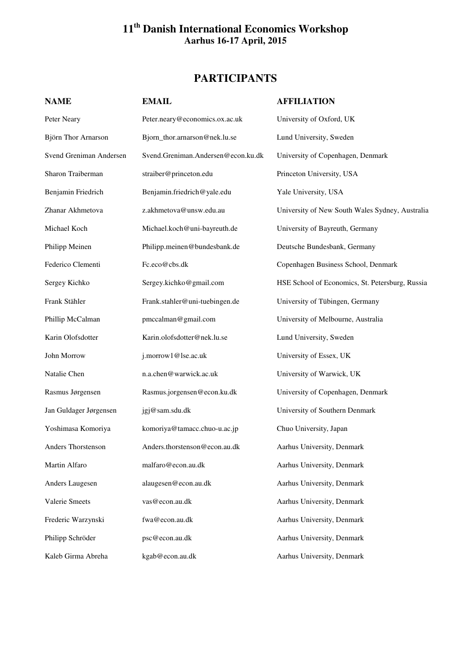## **11th Danish International Economics Workshop Aarhus 16-17 April, 2015**

## **PARTICIPANTS**

| <b>NAME</b>             | <b>EMAIL</b>                       | <b>AFFILIATION</b>                              |  |
|-------------------------|------------------------------------|-------------------------------------------------|--|
| Peter Neary             | Peter.neary@economics.ox.ac.uk     | University of Oxford, UK                        |  |
| Björn Thor Arnarson     | Bjorn_thor.arnarson@nek.lu.se      | Lund University, Sweden                         |  |
| Svend Greniman Andersen | Svend.Greniman.Andersen@econ.ku.dk | University of Copenhagen, Denmark               |  |
| Sharon Traiberman       | straiber@princeton.edu             | Princeton University, USA                       |  |
| Benjamin Friedrich      | Benjamin.friedrich@yale.edu        | Yale University, USA                            |  |
| Zhanar Akhmetova        | z.akhmetova@unsw.edu.au            | University of New South Wales Sydney, Australia |  |
| Michael Koch            | Michael.koch@uni-bayreuth.de       | University of Bayreuth, Germany                 |  |
| Philipp Meinen          | Philipp.meinen@bundesbank.de       | Deutsche Bundesbank, Germany                    |  |
| Federico Clementi       | Fc.eco@cbs.dk                      | Copenhagen Business School, Denmark             |  |
| Sergey Kichko           | Sergey.kichko@gmail.com            | HSE School of Economics, St. Petersburg, Russia |  |
| Frank Stähler           | Frank.stahler@uni-tuebingen.de     | University of Tübingen, Germany                 |  |
| Phillip McCalman        | pmccalman@gmail.com                | University of Melbourne, Australia              |  |
| Karin Olofsdotter       | Karin.olofsdotter@nek.lu.se        | Lund University, Sweden                         |  |
| John Morrow             | j.morrow1@lse.ac.uk                | University of Essex, UK                         |  |
| Natalie Chen            | n.a.chen@warwick.ac.uk             | University of Warwick, UK                       |  |
| Rasmus Jørgensen        | Rasmus.jorgensen@econ.ku.dk        | University of Copenhagen, Denmark               |  |
| Jan Guldager Jørgensen  | jgj@sam.sdu.dk                     | University of Southern Denmark                  |  |
| Yoshimasa Komoriya      | komoriya@tamacc.chuo-u.ac.jp       | Chuo University, Japan                          |  |
| Anders Thorstenson      | Anders.thorstenson@econ.au.dk      | Aarhus University, Denmark                      |  |
| Martin Alfaro           | malfaro@econ.au.dk                 | Aarhus University, Denmark                      |  |
| Anders Laugesen         | alaugesen@econ.au.dk               | Aarhus University, Denmark                      |  |
| Valerie Smeets          | vas@econ.au.dk                     | Aarhus University, Denmark                      |  |
| Frederic Warzynski      | fwa@econ.au.dk                     | Aarhus University, Denmark                      |  |
| Philipp Schröder        | psc@econ.au.dk                     | Aarhus University, Denmark                      |  |
| Kaleb Girma Abreha      | kgab@econ.au.dk                    | Aarhus University, Denmark                      |  |